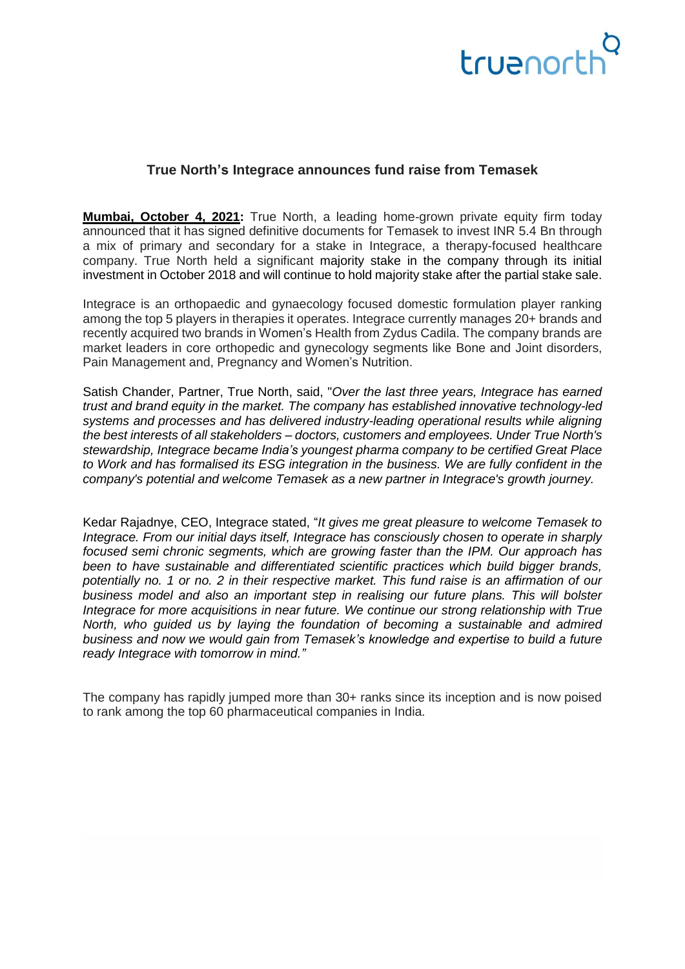### truenort

#### **True North's Integrace announces fund raise from Temasek**

**Mumbai, October 4, 2021:** True North, a leading home-grown private equity firm today announced that it has signed definitive documents for Temasek to invest INR 5.4 Bn through a mix of primary and secondary for a stake in Integrace, a therapy-focused healthcare company. True North held a significant majority stake in the company through its initial investment in October 2018 and will continue to hold majority stake after the partial stake sale.

Integrace is an orthopaedic and gynaecology focused domestic formulation player ranking among the top 5 players in therapies it operates. Integrace currently manages 20+ brands and recently acquired two brands in Women's Health from Zydus Cadila. The company brands are market leaders in core orthopedic and gynecology segments like Bone and Joint disorders, Pain Management and, Pregnancy and Women's Nutrition.

Satish Chander, Partner, True North, said, "*Over the last three years, Integrace has earned trust and brand equity in the market. The company has established innovative technology-led systems and processes and has delivered industry-leading operational results while aligning the best interests of all stakeholders – doctors, customers and employees. Under True North's stewardship, Integrace became India's youngest pharma company to be certified Great Place to Work and has formalised its ESG integration in the business. We are fully confident in the company's potential and welcome Temasek as a new partner in Integrace's growth journey.*

Kedar Rajadnye, CEO, Integrace stated, "*It gives me great pleasure to welcome Temasek to Integrace. From our initial days itself, Integrace has consciously chosen to operate in sharply focused semi chronic segments, which are growing faster than the IPM. Our approach has been to have sustainable and differentiated scientific practices which build bigger brands, potentially no. 1 or no. 2 in their respective market. This fund raise is an affirmation of our business model and also an important step in realising our future plans. This will bolster Integrace for more acquisitions in near future. We continue our strong relationship with True North, who guided us by laying the foundation of becoming a sustainable and admired business and now we would gain from Temasek's knowledge and expertise to build a future ready Integrace with tomorrow in mind."* 

The company has rapidly jumped more than 30+ ranks since its inception and is now poised to rank among the top 60 pharmaceutical companies in India.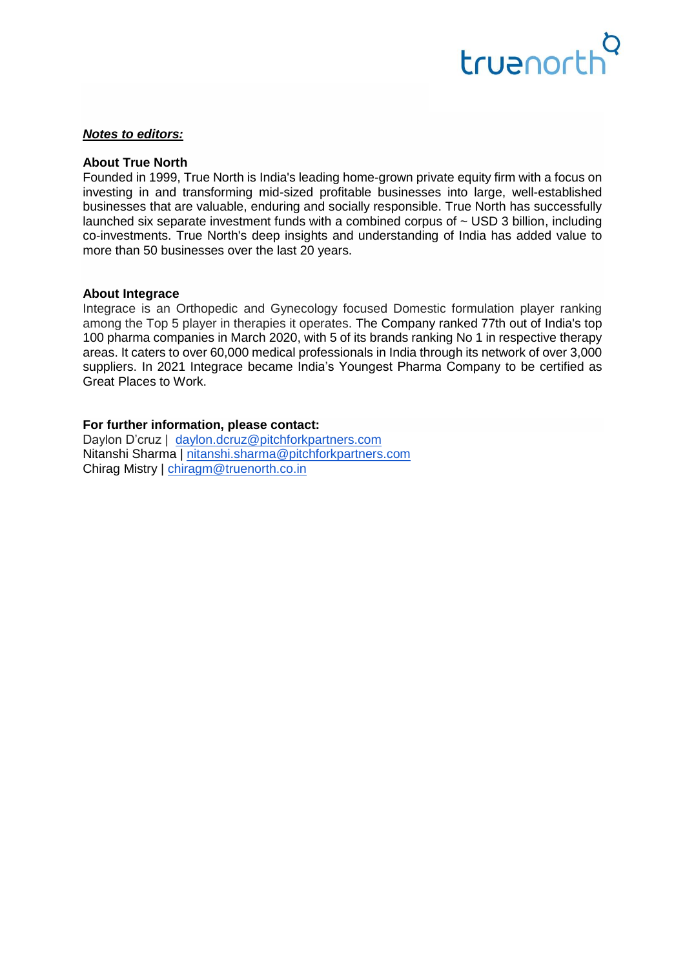## truenort

#### *Notes to editors:*

#### **About True North**

Founded in 1999, True North is India's leading home-grown private equity firm with a focus on investing in and transforming mid-sized profitable businesses into large, well-established businesses that are valuable, enduring and socially responsible. True North has successfully launched six separate investment funds with a combined corpus of  $\sim$  USD 3 billion, including co-investments. True North's deep insights and understanding of India has added value to more than 50 businesses over the last 20 years.

#### **About Integrace**

Integrace is an Orthopedic and Gynecology focused Domestic formulation player ranking among the Top 5 player in therapies it operates. The Company ranked 77th out of India's top 100 pharma companies in March 2020, with 5 of its brands ranking No 1 in respective therapy areas. It caters to over 60,000 medical professionals in India through its network of over 3,000 suppliers. In 2021 Integrace became India's Youngest Pharma Company to be certified as Great Places to Work.

#### **For further information, please contact:**

Daylon D'cruz | [daylon.dcruz@pitchforkpartners.com](mailto:daylon.dcruz@pitchforkpartners.com) Nitanshi Sharma | [nitanshi.sharma@pitchforkpartners.com](mailto:nitanshi.sharma@pitchforkpartners.com) Chirag Mistry | [chiragm@truenorth.co.in](mailto:chiragm@truenorth.co.in)